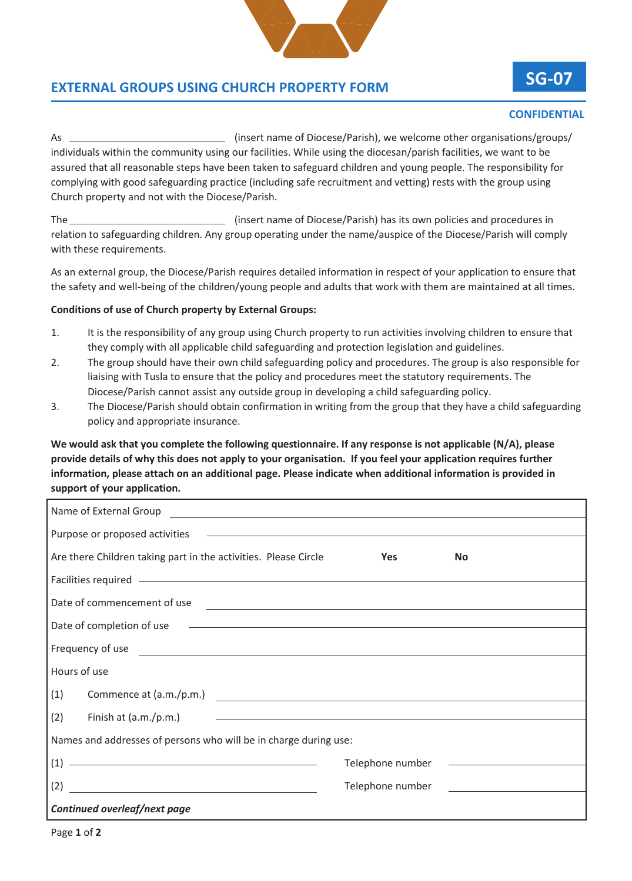

## **EXTERNAL GROUPS USING CHURCH PROPERTY FORM**

## **SG-07**

## **CONFIDENTIAL**

As (insert name of Diocese/Parish), we welcome other organisations/groups/ individuals within the community using our facilities. While using the diocesan/parish facilities, we want to be assured that all reasonable steps have been taken to safeguard children and young people. The responsibility for complying with good safeguarding practice (including safe recruitment and vetting) rests with the group using Church property and not with the Diocese/Parish.

The **Example 20** (insert name of Diocese/Parish) has its own policies and procedures in relation to safeguarding children. Any group operating under the name/auspice of the Diocese/Parish will comply with these requirements.

As an external group, the Diocese/Parish requires detailed information in respect of your application to ensure that the safety and well-being of the children/young people and adults that work with them are maintained at all times.

## **Conditions of use of Church property by External Groups:**

- 1. It is the responsibility of any group using Church property to run activities involving children to ensure that they comply with all applicable child safeguarding and protection legislation and guidelines.
- 2. The group should have their own child safeguarding policy and procedures. The group is also responsible for liaising with Tusla to ensure that the policy and procedures meet the statutory requirements. The Diocese/Parish cannot assist any outside group in developing a child safeguarding policy.
- 3. The Diocese/Parish should obtain confirmation in writing from the group that they have a child safeguarding policy and appropriate insurance.

**We would ask that you complete the following questionnaire. If any response is not applicable (N/A), please provide details of why this does not apply to your organisation. If you feel your application requires further information, please attach on an additional page. Please indicate when additional information is provided in support of your application.**

| Are there Children taking part in the activities. Please Circle <b>State State State Yes</b>                                                                                                                                         | <b>No</b>                                    |
|--------------------------------------------------------------------------------------------------------------------------------------------------------------------------------------------------------------------------------------|----------------------------------------------|
| Facilities required <u>entities</u> and the contract of the contract of the contract of the contract of the contract of                                                                                                              |                                              |
| Date of commencement of use experience and the contract of the contract of the contract of the contract of the contract of the contract of the contract of the contract of the contract of the contract of the contract of the       |                                              |
| Date of completion of use example and the set of completion of use the set of completion of use                                                                                                                                      |                                              |
| Frequency of use <u>example and the set of the set of the set of the set of the set of the set of the set of the set of the set of the set of the set of the set of the set of the set of the set of the set of the set of the s</u> |                                              |
| Hours of use                                                                                                                                                                                                                         |                                              |
| (1)                                                                                                                                                                                                                                  |                                              |
| Finish at $(a.m./p.m.)$ $\qquad \qquad$<br>(2)                                                                                                                                                                                       |                                              |
| Names and addresses of persons who will be in charge during use:                                                                                                                                                                     |                                              |
|                                                                                                                                                                                                                                      |                                              |
|                                                                                                                                                                                                                                      | Telephone number <u>____________________</u> |
| Continued overleaf/next page                                                                                                                                                                                                         |                                              |